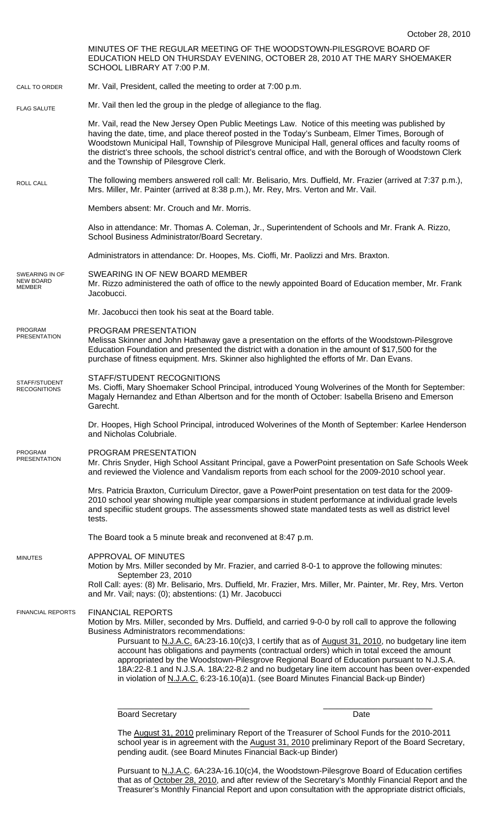|                                                     | OUIUDTI ZU. ZUTU                                                                                                                                                                                                                                                                                                                                                                                                                                                                                                                                                                                                                                                                   |
|-----------------------------------------------------|------------------------------------------------------------------------------------------------------------------------------------------------------------------------------------------------------------------------------------------------------------------------------------------------------------------------------------------------------------------------------------------------------------------------------------------------------------------------------------------------------------------------------------------------------------------------------------------------------------------------------------------------------------------------------------|
|                                                     | MINUTES OF THE REGULAR MEETING OF THE WOODSTOWN-PILESGROVE BOARD OF<br>EDUCATION HELD ON THURSDAY EVENING, OCTOBER 28, 2010 AT THE MARY SHOEMAKER<br>SCHOOL LIBRARY AT 7:00 P.M.                                                                                                                                                                                                                                                                                                                                                                                                                                                                                                   |
| CALL TO ORDER                                       | Mr. Vail, President, called the meeting to order at 7:00 p.m.                                                                                                                                                                                                                                                                                                                                                                                                                                                                                                                                                                                                                      |
| <b>FLAG SALUTE</b>                                  | Mr. Vail then led the group in the pledge of allegiance to the flag.                                                                                                                                                                                                                                                                                                                                                                                                                                                                                                                                                                                                               |
|                                                     | Mr. Vail, read the New Jersey Open Public Meetings Law. Notice of this meeting was published by<br>having the date, time, and place thereof posted in the Today's Sunbeam, Elmer Times, Borough of<br>Woodstown Municipal Hall, Township of Pilesgrove Municipal Hall, general offices and faculty rooms of<br>the district's three schools, the school district's central office, and with the Borough of Woodstown Clerk<br>and the Township of Pilesgrove Clerk.                                                                                                                                                                                                                |
| <b>ROLL CALL</b>                                    | The following members answered roll call: Mr. Belisario, Mrs. Duffield, Mr. Frazier (arrived at 7:37 p.m.),<br>Mrs. Miller, Mr. Painter (arrived at 8:38 p.m.), Mr. Rey, Mrs. Verton and Mr. Vail.                                                                                                                                                                                                                                                                                                                                                                                                                                                                                 |
|                                                     | Members absent: Mr. Crouch and Mr. Morris.                                                                                                                                                                                                                                                                                                                                                                                                                                                                                                                                                                                                                                         |
|                                                     | Also in attendance: Mr. Thomas A. Coleman, Jr., Superintendent of Schools and Mr. Frank A. Rizzo,<br>School Business Administrator/Board Secretary.                                                                                                                                                                                                                                                                                                                                                                                                                                                                                                                                |
|                                                     | Administrators in attendance: Dr. Hoopes, Ms. Cioffi, Mr. Paolizzi and Mrs. Braxton.                                                                                                                                                                                                                                                                                                                                                                                                                                                                                                                                                                                               |
| SWEARING IN OF<br><b>NEW BOARD</b><br><b>MEMBER</b> | SWEARING IN OF NEW BOARD MEMBER<br>Mr. Rizzo administered the oath of office to the newly appointed Board of Education member, Mr. Frank<br>Jacobucci.                                                                                                                                                                                                                                                                                                                                                                                                                                                                                                                             |
|                                                     | Mr. Jacobucci then took his seat at the Board table.                                                                                                                                                                                                                                                                                                                                                                                                                                                                                                                                                                                                                               |
| PROGRAM<br><b>PRESENTATION</b>                      | PROGRAM PRESENTATION<br>Melissa Skinner and John Hathaway gave a presentation on the efforts of the Woodstown-Pilesgrove<br>Education Foundation and presented the district with a donation in the amount of \$17,500 for the<br>purchase of fitness equipment. Mrs. Skinner also highlighted the efforts of Mr. Dan Evans.                                                                                                                                                                                                                                                                                                                                                        |
| STAFF/STUDENT<br><b>RECOGNITIONS</b>                | <b>STAFF/STUDENT RECOGNITIONS</b><br>Ms. Cioffi, Mary Shoemaker School Principal, introduced Young Wolverines of the Month for September:<br>Magaly Hernandez and Ethan Albertson and for the month of October: Isabella Briseno and Emerson<br>Garecht.                                                                                                                                                                                                                                                                                                                                                                                                                           |
|                                                     | Dr. Hoopes, High School Principal, introduced Wolverines of the Month of September: Karlee Henderson<br>and Nicholas Colubriale.                                                                                                                                                                                                                                                                                                                                                                                                                                                                                                                                                   |
| <b>PROGRAM</b><br><b>PRESENTATION</b>               | PROGRAM PRESENTATION<br>Mr. Chris Snyder, High School Assitant Principal, gave a PowerPoint presentation on Safe Schools Week<br>and reviewed the Violence and Vandalism reports from each school for the 2009-2010 school year.                                                                                                                                                                                                                                                                                                                                                                                                                                                   |
|                                                     | Mrs. Patricia Braxton, Curriculum Director, gave a PowerPoint presentation on test data for the 2009-<br>2010 school year showing multiple year comparsions in student performance at individual grade levels<br>and specifiic student groups. The assessments showed state mandated tests as well as district level<br>tests.                                                                                                                                                                                                                                                                                                                                                     |
|                                                     | The Board took a 5 minute break and reconvened at 8:47 p.m.                                                                                                                                                                                                                                                                                                                                                                                                                                                                                                                                                                                                                        |
| <b>MINUTES</b>                                      | APPROVAL OF MINUTES<br>Motion by Mrs. Miller seconded by Mr. Frazier, and carried 8-0-1 to approve the following minutes:<br>September 23, 2010                                                                                                                                                                                                                                                                                                                                                                                                                                                                                                                                    |
|                                                     | Roll Call: ayes: (8) Mr. Belisario, Mrs. Duffield, Mr. Frazier, Mrs. Miller, Mr. Painter, Mr. Rey, Mrs. Verton<br>and Mr. Vail; nays: (0); abstentions: (1) Mr. Jacobucci                                                                                                                                                                                                                                                                                                                                                                                                                                                                                                          |
| <b>FINANCIAL REPORTS</b>                            | <b>FINANCIAL REPORTS</b><br>Motion by Mrs. Miller, seconded by Mrs. Duffield, and carried 9-0-0 by roll call to approve the following<br><b>Business Administrators recommendations:</b><br>Pursuant to N.J.A.C. 6A:23-16.10(c)3, I certify that as of August 31, 2010, no budgetary line item<br>account has obligations and payments (contractual orders) which in total exceed the amount<br>appropriated by the Woodstown-Pilesgrove Regional Board of Education pursuant to N.J.S.A.<br>18A:22-8.1 and N.J.S.A. 18A:22-8.2 and no budgetary line item account has been over-expended<br>in violation of N.J.A.C. 6:23-16.10(a)1. (see Board Minutes Financial Back-up Binder) |
|                                                     |                                                                                                                                                                                                                                                                                                                                                                                                                                                                                                                                                                                                                                                                                    |

Board Secretary **Date** 

The August 31, 2010 preliminary Report of the Treasurer of School Funds for the 2010-2011 school year is in agreement with the August 31, 2010 preliminary Report of the Board Secretary, pending audit. (see Board Minutes Financial Back-up Binder)

Pursuant to N.J.A.C. 6A:23A-16.10(c)4, the Woodstown-Pilesgrove Board of Education certifies that as of <u>October 28, 2010</u>, and after review of the Secretary's Monthly Financial Report and the Treasurer's Monthly Financial Report and upon consultation with the appropriate district officials,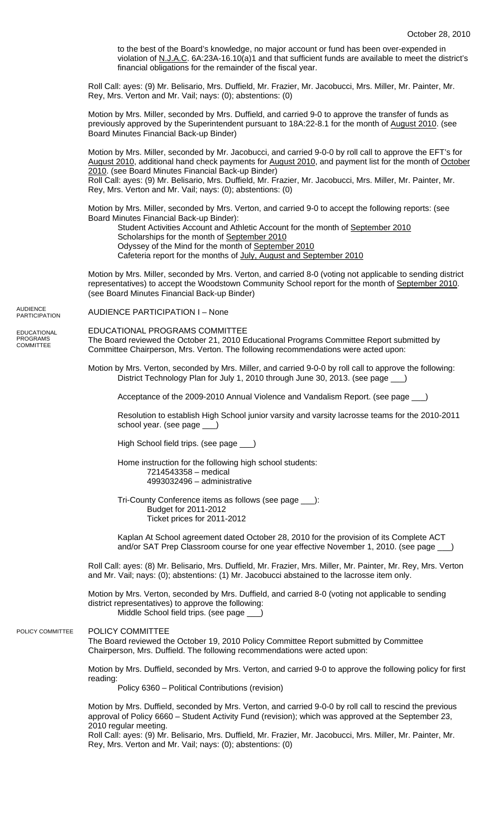to the best of the Board's knowledge, no major account or fund has been over-expended in violation of N.J.A.C. 6A:23A-16.10(a)1 and that sufficient funds are available to meet the district's financial obligations for the remainder of the fiscal year.

Roll Call: ayes: (9) Mr. Belisario, Mrs. Duffield, Mr. Frazier, Mr. Jacobucci, Mrs. Miller, Mr. Painter, Mr. Rey, Mrs. Verton and Mr. Vail; nays: (0); abstentions: (0)

Motion by Mrs. Miller, seconded by Mrs. Duffield, and carried 9-0 to approve the transfer of funds as previously approved by the Superintendent pursuant to 18A:22-8.1 for the month of August 2010. (see Board Minutes Financial Back-up Binder)

Motion by Mrs. Miller, seconded by Mr. Jacobucci, and carried 9-0-0 by roll call to approve the EFT's for August 2010, additional hand check payments for August 2010, and payment list for the month of October 2010. (see Board Minutes Financial Back-up Binder)

Roll Call: ayes: (9) Mr. Belisario, Mrs. Duffield, Mr. Frazier, Mr. Jacobucci, Mrs. Miller, Mr. Painter, Mr. Rey, Mrs. Verton and Mr. Vail; nays: (0); abstentions: (0)

Motion by Mrs. Miller, seconded by Mrs. Verton, and carried 9-0 to accept the following reports: (see Board Minutes Financial Back-up Binder):

Student Activities Account and Athletic Account for the month of September 2010 Scholarships for the month of September 2010

Odyssey of the Mind for the month of September 2010

Cafeteria report for the months of July, August and September 2010

Motion by Mrs. Miller, seconded by Mrs. Verton, and carried 8-0 (voting not applicable to sending district representatives) to accept the Woodstown Community School report for the month of September 2010. (see Board Minutes Financial Back-up Binder)

AUDIENCE PARTICIPATION I – None AUDIENCE PARTICIPATION

EDUCATIONAL PROGRAMS **COMMITTEE** 

EDUCATIONAL PROGRAMS COMMITTEE

The Board reviewed the October 21, 2010 Educational Programs Committee Report submitted by Committee Chairperson, Mrs. Verton. The following recommendations were acted upon:

Motion by Mrs. Verton, seconded by Mrs. Miller, and carried 9-0-0 by roll call to approve the following: District Technology Plan for July 1, 2010 through June 30, 2013. (see page \_\_\_)

Acceptance of the 2009-2010 Annual Violence and Vandalism Report. (see page \_\_\_)

Resolution to establish High School junior varsity and varsity lacrosse teams for the 2010-2011 school year. (see page \_

High School field trips. (see page \_\_\_)

Home instruction for the following high school students: 7214543358 – medical 4993032496 – administrative

Tri-County Conference items as follows (see page \_\_\_): Budget for 2011-2012 Ticket prices for 2011-2012

Kaplan At School agreement dated October 28, 2010 for the provision of its Complete ACT and/or SAT Prep Classroom course for one year effective November 1, 2010. (see page

Roll Call: ayes: (8) Mr. Belisario, Mrs. Duffield, Mr. Frazier, Mrs. Miller, Mr. Painter, Mr. Rey, Mrs. Verton and Mr. Vail; nays: (0); abstentions: (1) Mr. Jacobucci abstained to the lacrosse item only.

Motion by Mrs. Verton, seconded by Mrs. Duffield, and carried 8-0 (voting not applicable to sending district representatives) to approve the following: Middle School field trips. (see page \_

## POLICY COMMITTEE POLICY COMMITTEE

The Board reviewed the October 19, 2010 Policy Committee Report submitted by Committee Chairperson, Mrs. Duffield. The following recommendations were acted upon:

Motion by Mrs. Duffield, seconded by Mrs. Verton, and carried 9-0 to approve the following policy for first reading:

Policy 6360 – Political Contributions (revision)

Motion by Mrs. Duffield, seconded by Mrs. Verton, and carried 9-0-0 by roll call to rescind the previous approval of Policy 6660 – Student Activity Fund (revision); which was approved at the September 23, 2010 regular meeting.

Roll Call: ayes: (9) Mr. Belisario, Mrs. Duffield, Mr. Frazier, Mr. Jacobucci, Mrs. Miller, Mr. Painter, Mr. Rey, Mrs. Verton and Mr. Vail; nays: (0); abstentions: (0)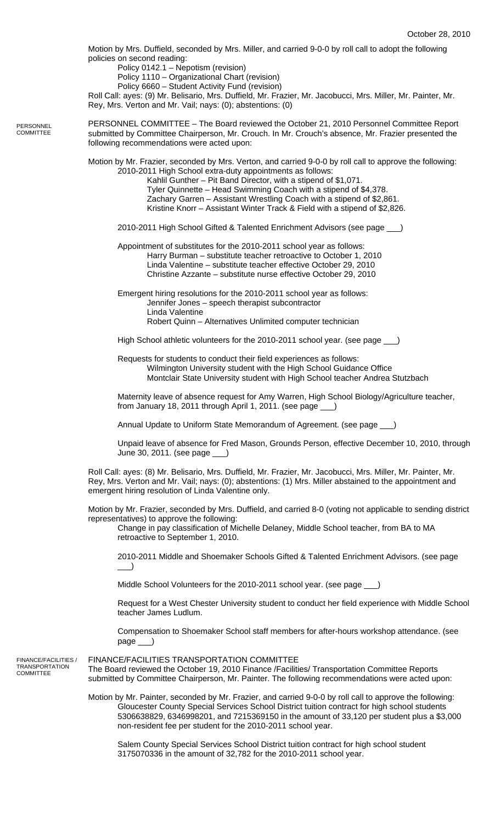Motion by Mrs. Duffield, seconded by Mrs. Miller, and carried 9-0-0 by roll call to adopt the following policies on second reading:

Policy 0142.1 – Nepotism (revision)

Policy 1110 – Organizational Chart (revision)

Policy 6660 – Student Activity Fund (revision)

Roll Call: ayes: (9) Mr. Belisario, Mrs. Duffield, Mr. Frazier, Mr. Jacobucci, Mrs. Miller, Mr. Painter, Mr. Rey, Mrs. Verton and Mr. Vail; nays: (0); abstentions: (0)

PERSONNEL COMMITTEE – The Board reviewed the October 21, 2010 Personnel Committee Report submitted by Committee Chairperson, Mr. Crouch. In Mr. Crouch's absence, Mr. Frazier presented the following recommendations were acted upon:

Motion by Mr. Frazier, seconded by Mrs. Verton, and carried 9-0-0 by roll call to approve the following: 2010-2011 High School extra-duty appointments as follows:

 Kahlil Gunther – Pit Band Director, with a stipend of \$1,071. Tyler Quinnette – Head Swimming Coach with a stipend of \$4,378. Zachary Garren – Assistant Wrestling Coach with a stipend of \$2,861. Kristine Knorr – Assistant Winter Track & Field with a stipend of \$2,826.

2010-2011 High School Gifted & Talented Enrichment Advisors (see page \_\_\_)

Appointment of substitutes for the 2010-2011 school year as follows: Harry Burman – substitute teacher retroactive to October 1, 2010 Linda Valentine – substitute teacher effective October 29, 2010 Christine Azzante – substitute nurse effective October 29, 2010

 Emergent hiring resolutions for the 2010-2011 school year as follows: Jennifer Jones – speech therapist subcontractor Linda Valentine Robert Quinn – Alternatives Unlimited computer technician

High School athletic volunteers for the 2010-2011 school year. (see page \_

Requests for students to conduct their field experiences as follows: Wilmington University student with the High School Guidance Office Montclair State University student with High School teacher Andrea Stutzbach

Maternity leave of absence request for Amy Warren, High School Biology/Agriculture teacher, from January 18, 2011 through April 1, 2011. (see page \_

Annual Update to Uniform State Memorandum of Agreement. (see page \_\_\_)

Unpaid leave of absence for Fred Mason, Grounds Person, effective December 10, 2010, through June 30, 2011. (see page \_\_\_)

Roll Call: ayes: (8) Mr. Belisario, Mrs. Duffield, Mr. Frazier, Mr. Jacobucci, Mrs. Miller, Mr. Painter, Mr. Rey, Mrs. Verton and Mr. Vail; nays: (0); abstentions: (1) Mrs. Miller abstained to the appointment and emergent hiring resolution of Linda Valentine only.

Motion by Mr. Frazier, seconded by Mrs. Duffield, and carried 8-0 (voting not applicable to sending district representatives) to approve the following:

Change in pay classification of Michelle Delaney, Middle School teacher, from BA to MA retroactive to September 1, 2010.

2010-2011 Middle and Shoemaker Schools Gifted & Talented Enrichment Advisors. (see page  $\Box$ )

Middle School Volunteers for the 2010-2011 school year. (see page \_\_\_)

Request for a West Chester University student to conduct her field experience with Middle School teacher James Ludlum.

Compensation to Shoemaker School staff members for after-hours workshop attendance. (see page \_\_\_)

FINANCE/FACILITIES / TRANSPORTATION **COMMITTEE** 

**PERSONNEL COMMITTEE** 

> FINANCE/FACILITIES TRANSPORTATION COMMITTEE The Board reviewed the October 19, 2010 Finance /Facilities/ Transportation Committee Reports submitted by Committee Chairperson, Mr. Painter. The following recommendations were acted upon:

Motion by Mr. Painter, seconded by Mr. Frazier, and carried 9-0-0 by roll call to approve the following: Gloucester County Special Services School District tuition contract for high school students 5306638829, 6346998201, and 7215369150 in the amount of 33,120 per student plus a \$3,000 non-resident fee per student for the 2010-2011 school year.

 Salem County Special Services School District tuition contract for high school student 3175070336 in the amount of 32,782 for the 2010-2011 school year.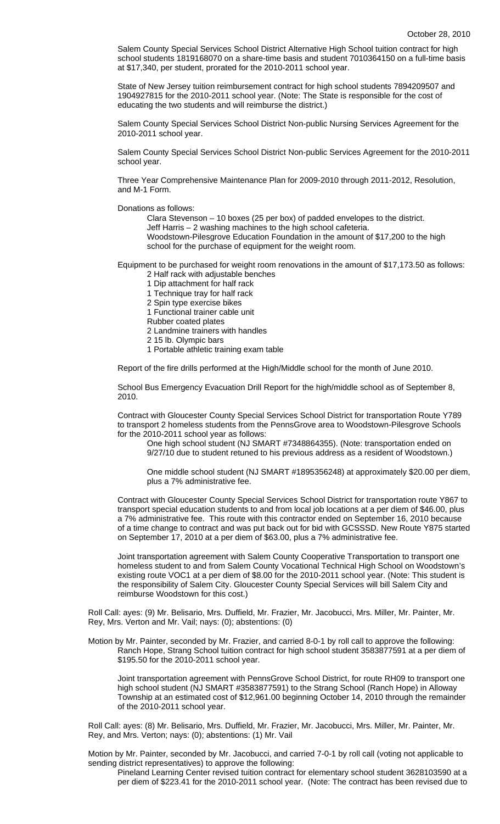Salem County Special Services School District Alternative High School tuition contract for high school students 1819168070 on a share-time basis and student 7010364150 on a full-time basis at \$17,340, per student, prorated for the 2010-2011 school year.

State of New Jersey tuition reimbursement contract for high school students 7894209507 and 1904927815 for the 2010-2011 school year. (Note: The State is responsible for the cost of educating the two students and will reimburse the district.)

Salem County Special Services School District Non-public Nursing Services Agreement for the 2010-2011 school year.

Salem County Special Services School District Non-public Services Agreement for the 2010-2011 school year.

Three Year Comprehensive Maintenance Plan for 2009-2010 through 2011-2012, Resolution, and M-1 Form.

Donations as follows:

Clara Stevenson – 10 boxes (25 per box) of padded envelopes to the district. Jeff Harris – 2 washing machines to the high school cafeteria.

Woodstown-Pilesgrove Education Foundation in the amount of \$17,200 to the high school for the purchase of equipment for the weight room.

Equipment to be purchased for weight room renovations in the amount of \$17,173.50 as follows: 2 Half rack with adjustable benches

- 1 Dip attachment for half rack
- 1 Technique tray for half rack
- 2 Spin type exercise bikes
- 1 Functional trainer cable unit
- Rubber coated plates
- 2 Landmine trainers with handles
- 2 15 lb. Olympic bars
- 1 Portable athletic training exam table

Report of the fire drills performed at the High/Middle school for the month of June 2010.

School Bus Emergency Evacuation Drill Report for the high/middle school as of September 8, 2010.

Contract with Gloucester County Special Services School District for transportation Route Y789 to transport 2 homeless students from the PennsGrove area to Woodstown-Pilesgrove Schools for the 2010-2011 school year as follows:

One high school student (NJ SMART #7348864355). (Note: transportation ended on 9/27/10 due to student retuned to his previous address as a resident of Woodstown.)

One middle school student (NJ SMART #1895356248) at approximately \$20.00 per diem, plus a 7% administrative fee.

Contract with Gloucester County Special Services School District for transportation route Y867 to transport special education students to and from local job locations at a per diem of \$46.00, plus a 7% administrative fee. This route with this contractor ended on September 16, 2010 because of a time change to contract and was put back out for bid with GCSSSD. New Route Y875 started on September 17, 2010 at a per diem of \$63.00, plus a 7% administrative fee.

Joint transportation agreement with Salem County Cooperative Transportation to transport one homeless student to and from Salem County Vocational Technical High School on Woodstown's existing route VOC1 at a per diem of \$8.00 for the 2010-2011 school year. (Note: This student is the responsibility of Salem City. Gloucester County Special Services will bill Salem City and reimburse Woodstown for this cost.)

Roll Call: ayes: (9) Mr. Belisario, Mrs. Duffield, Mr. Frazier, Mr. Jacobucci, Mrs. Miller, Mr. Painter, Mr. Rey, Mrs. Verton and Mr. Vail; nays: (0); abstentions: (0)

Motion by Mr. Painter, seconded by Mr. Frazier, and carried 8-0-1 by roll call to approve the following: Ranch Hope, Strang School tuition contract for high school student 3583877591 at a per diem of \$195.50 for the 2010-2011 school year.

Joint transportation agreement with PennsGrove School District, for route RH09 to transport one high school student (NJ SMART #3583877591) to the Strang School (Ranch Hope) in Alloway Township at an estimated cost of \$12,961.00 beginning October 14, 2010 through the remainder of the 2010-2011 school year.

Roll Call: ayes: (8) Mr. Belisario, Mrs. Duffield, Mr. Frazier, Mr. Jacobucci, Mrs. Miller, Mr. Painter, Mr. Rey, and Mrs. Verton; nays: (0); abstentions: (1) Mr. Vail

Motion by Mr. Painter, seconded by Mr. Jacobucci, and carried 7-0-1 by roll call (voting not applicable to sending district representatives) to approve the following:

Pineland Learning Center revised tuition contract for elementary school student 3628103590 at a per diem of \$223.41 for the 2010-2011 school year. (Note: The contract has been revised due to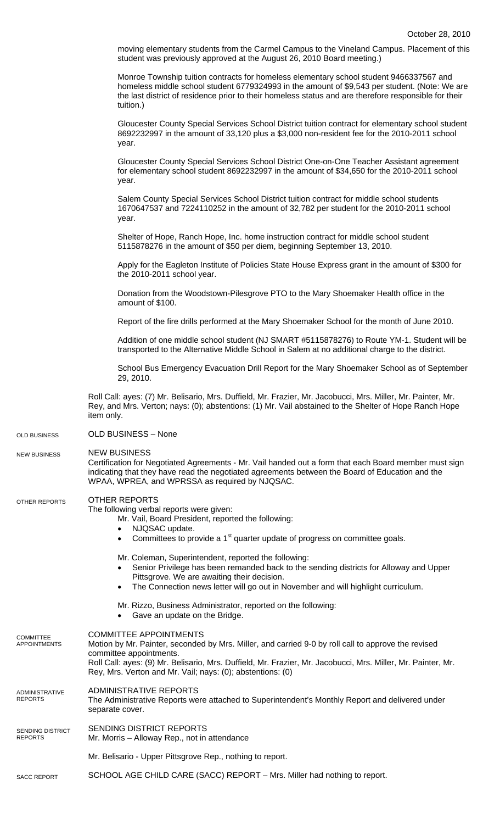moving elementary students from the Carmel Campus to the Vineland Campus. Placement of this student was previously approved at the August 26, 2010 Board meeting.)

Monroe Township tuition contracts for homeless elementary school student 9466337567 and homeless middle school student 6779324993 in the amount of \$9,543 per student. (Note: We are the last district of residence prior to their homeless status and are therefore responsible for their tuition.)

 Gloucester County Special Services School District tuition contract for elementary school student 8692232997 in the amount of 33,120 plus a \$3,000 non-resident fee for the 2010-2011 school year.

 Gloucester County Special Services School District One-on-One Teacher Assistant agreement for elementary school student 8692232997 in the amount of \$34,650 for the 2010-2011 school year.

 Salem County Special Services School District tuition contract for middle school students 1670647537 and 7224110252 in the amount of 32,782 per student for the 2010-2011 school year.

Shelter of Hope, Ranch Hope, Inc. home instruction contract for middle school student 5115878276 in the amount of \$50 per diem, beginning September 13, 2010.

Apply for the Eagleton Institute of Policies State House Express grant in the amount of \$300 for the 2010-2011 school year.

Donation from the Woodstown-Pilesgrove PTO to the Mary Shoemaker Health office in the amount of \$100.

Report of the fire drills performed at the Mary Shoemaker School for the month of June 2010.

Addition of one middle school student (NJ SMART #5115878276) to Route YM-1. Student will be transported to the Alternative Middle School in Salem at no additional charge to the district.

School Bus Emergency Evacuation Drill Report for the Mary Shoemaker School as of September 29, 2010.

Roll Call: ayes: (7) Mr. Belisario, Mrs. Duffield, Mr. Frazier, Mr. Jacobucci, Mrs. Miller, Mr. Painter, Mr. Rey, and Mrs. Verton; nays: (0); abstentions: (1) Mr. Vail abstained to the Shelter of Hope Ranch Hope item only.

OLD BUSINESS – None OLD BUSINESS

NEW BUSINESS NEW BUSINESS

Certification for Negotiated Agreements - Mr. Vail handed out a form that each Board member must sign indicating that they have read the negotiated agreements between the Board of Education and the WPAA, WPREA, and WPRSSA as required by NJQSAC.

## OTHER REPORTS OTHER REPORTS

The following verbal reports were given:

Mr. Vail, Board President, reported the following:

- NJQSAC update.
- Committees to provide a 1<sup>st</sup> quarter update of progress on committee goals.
- Mr. Coleman, Superintendent, reported the following:
- Senior Privilege has been remanded back to the sending districts for Alloway and Upper Pittsgrove. We are awaiting their decision.
- The Connection news letter will go out in November and will highlight curriculum.
- Mr. Rizzo, Business Administrator, reported on the following:
- Gave an update on the Bridge.
- COMMITTEE APPOINTMENTS **COMMITTEE**
- Motion by Mr. Painter, seconded by Mrs. Miller, and carried 9-0 by roll call to approve the revised committee appointments. Roll Call: ayes: (9) Mr. Belisario, Mrs. Duffield, Mr. Frazier, Mr. Jacobucci, Mrs. Miller, Mr. Painter, Mr. Rey, Mrs. Verton and Mr. Vail; nays: (0); abstentions: (0) ADMINISTRATIVE REPORTS The Administrative Reports were attached to Superintendent's Monthly Report and delivered under APPOINTMENTS ADMINISTRATIVE REPORTS
- separate cover.
- SENDING DISTRICT REPORTS Mr. Morris – Alloway Rep., not in attendance SENDING DISTRICT REPORTS
	- Mr. Belisario Upper Pittsgrove Rep., nothing to report.
- SCHOOL AGE CHILD CARE (SACC) REPORT Mrs. Miller had nothing to report. SACC REPORT